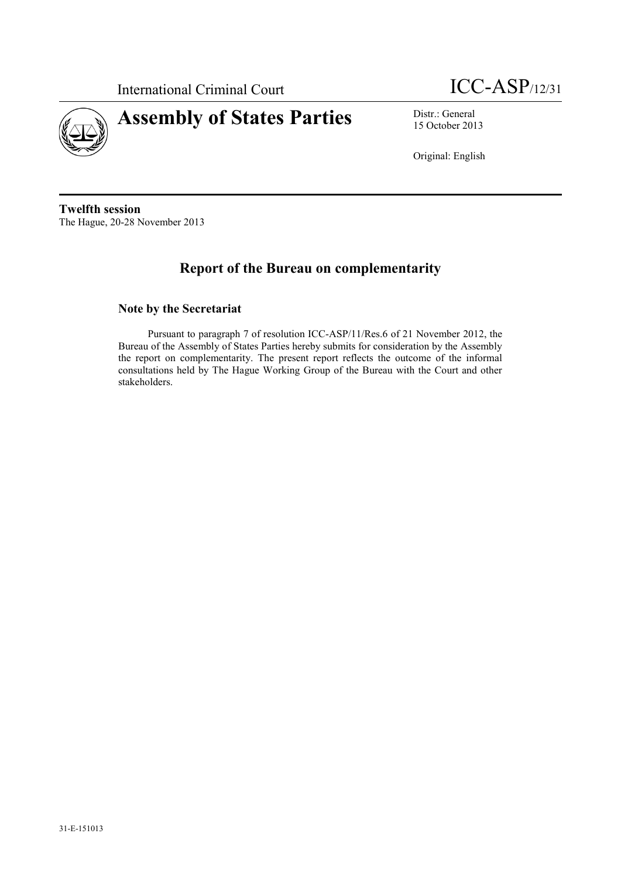

International Criminal Court **ICC-ASP**/12/31

15 October 2013

Original: English

**Twelfth session** The Hague, 20-28 November 2013

# **Report of the Bureau on complementarity**

#### **Note by the Secretariat**

Pursuant to paragraph 7 of resolution ICC-ASP/11/Res.6 of 21 November 2012, the Bureau of the Assembly of States Parties hereby submits for consideration by the Assembly the report on complementarity. The present report reflects the outcome of the informal consultations held by The Hague Working Group of the Bureau with the Court and other stakeholders.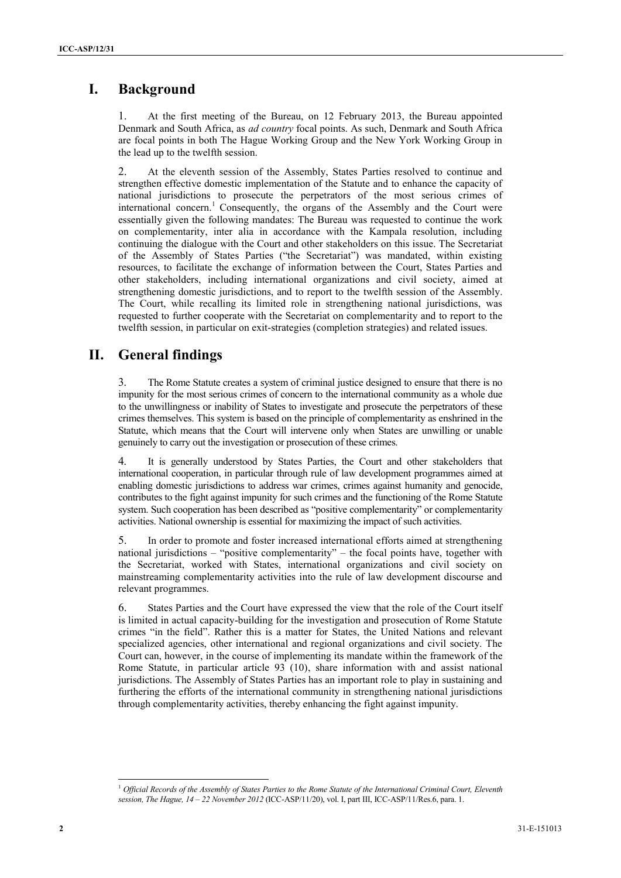## **I. Background**

1. At the first meeting of the Bureau, on 12 February 2013, the Bureau appointed Denmark and South Africa, as *ad country* focal points. As such, Denmark and South Africa are focal points in both The Hague Working Group and the New York Working Group in the lead up to the twelfth session.

2. At the eleventh session of the Assembly, States Parties resolved to continue and strengthen effective domestic implementation of the Statute and to enhance the capacity of national jurisdictions to prosecute the perpetrators of the most serious crimes of international concern. <sup>1</sup> Consequently, the organs of the Assembly and the Court were essentially given the following mandates: The Bureau was requested to continue the work on complementarity, inter alia in accordance with the Kampala resolution, including continuing the dialogue with the Court and other stakeholders on this issue. The Secretariat of the Assembly of States Parties ("the Secretariat") was mandated, within existing resources, to facilitate the exchange of information between the Court, States Parties and other stakeholders, including international organizations and civil society, aimed at strengthening domestic jurisdictions, and to report to the twelfth session of the Assembly. The Court, while recalling its limited role in strengthening national jurisdictions, was requested to further cooperate with the Secretariat on complementarity and to report to the twelfth session, in particular on exit-strategies (completion strategies) and related issues.

## **II. General findings**

3. The Rome Statute creates a system of criminal justice designed to ensure that there is no impunity for the most serious crimes of concern to the international community as a whole due to the unwillingness or inability of States to investigate and prosecute the perpetrators of these crimes themselves. This system is based on the principle of complementarity as enshrined in the Statute, which means that the Court will intervene only when States are unwilling or unable genuinely to carry out the investigation or prosecution of these crimes.

4. It is generally understood by States Parties, the Court and other stakeholders that international cooperation, in particular through rule of law development programmes aimed at enabling domestic jurisdictions to address war crimes, crimes against humanity and genocide, contributes to the fight against impunity for such crimes and the functioning of the Rome Statute system. Such cooperation has been described as "positive complementarity" or complementarity activities. National ownership is essential for maximizing the impact of such activities.

5. In order to promote and foster increased international efforts aimed at strengthening national jurisdictions – "positive complementarity" – the focal points have, together with the Secretariat, worked with States, international organizations and civil society on mainstreaming complementarity activities into the rule of law development discourse and relevant programmes.

6. States Parties and the Court have expressed the view that the role of the Court itself is limited in actual capacity-building for the investigation and prosecution of Rome Statute crimes "in the field". Rather this is a matter for States, the United Nations and relevant specialized agencies, other international and regional organizations and civil society. The Court can, however, in the course of implementing its mandate within the framework of the Rome Statute, in particular article 93 (10), share information with and assist national jurisdictions. The Assembly of States Parties has an important role to play in sustaining and furthering the efforts of the international community in strengthening national jurisdictions through complementarity activities, thereby enhancing the fight against impunity.

l

<sup>1</sup> *Official Records of the Assembly of States Parties to the Rome Statute of the International Criminal Court, Eleventh session, The Hague, 14 – 22 November 2012* (ICC-ASP/11/20), vol. I, part III, ICC-ASP/11/Res.6, para. 1.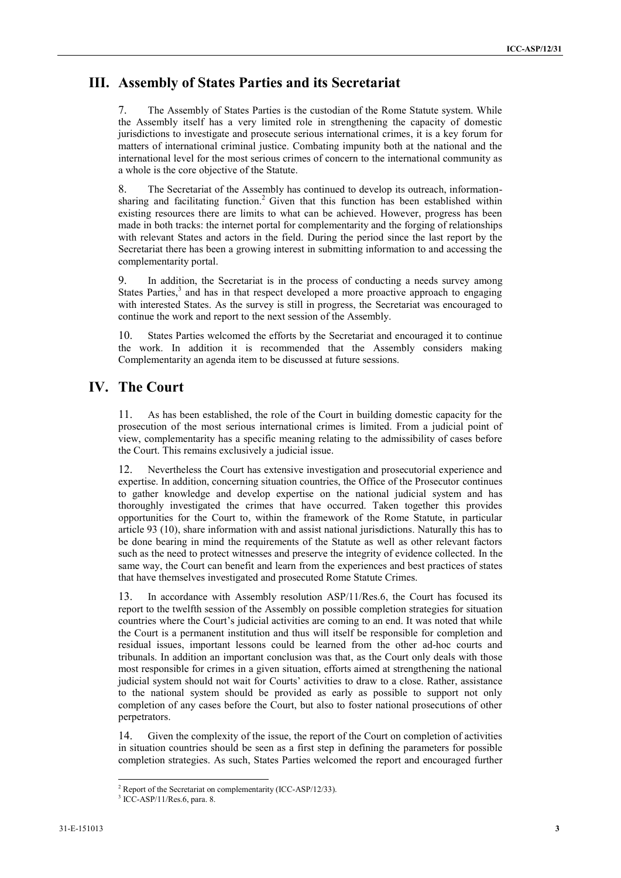## **III. Assembly of States Parties and its Secretariat**

7. The Assembly of States Parties is the custodian of the Rome Statute system. While the Assembly itself has a very limited role in strengthening the capacity of domestic jurisdictions to investigate and prosecute serious international crimes, it is a key forum for matters of international criminal justice. Combating impunity both at the national and the international level for the most serious crimes of concern to the international community as a whole is the core objective of the Statute.

8. The Secretariat of the Assembly has continued to develop its outreach, informationsharing and facilitating function. <sup>2</sup> Given that this function has been established within existing resources there are limits to what can be achieved. However, progress has been made in both tracks: the internet portal for complementarity and the forging of relationships with relevant States and actors in the field. During the period since the last report by the Secretariat there has been a growing interest in submitting information to and accessing the complementarity portal.

9. In addition, the Secretariat is in the process of conducting a needs survey among States Parties,<sup>3</sup> and has in that respect developed a more proactive approach to engaging with interested States. As the survey is still in progress, the Secretariat was encouraged to continue the work and report to the next session of the Assembly.

10. States Parties welcomed the efforts by the Secretariat and encouraged it to continue the work. In addition it is recommended that the Assembly considers making Complementarity an agenda item to be discussed at future sessions.

## **IV. The Court**

11. As has been established, the role of the Court in building domestic capacity for the prosecution of the most serious international crimes is limited. From a judicial point of view, complementarity has a specific meaning relating to the admissibility of cases before the Court. This remains exclusively a judicial issue.

12. Nevertheless the Court has extensive investigation and prosecutorial experience and expertise. In addition, concerning situation countries, the Office of the Prosecutor continues to gather knowledge and develop expertise on the national judicial system and has thoroughly investigated the crimes that have occurred. Taken together this provides opportunities for the Court to, within the framework of the Rome Statute, in particular article 93 (10), share information with and assist national jurisdictions. Naturally this has to be done bearing in mind the requirements of the Statute as well as other relevant factors such as the need to protect witnesses and preserve the integrity of evidence collected. In the same way, the Court can benefit and learn from the experiences and best practices of states that have themselves investigated and prosecuted Rome Statute Crimes.

13. In accordance with Assembly resolution ASP/11/Res.6, the Court has focused its report to the twelfth session of the Assembly on possible completion strategies for situation countries where the Court's judicial activities are coming to an end. It was noted that while the Court is a permanent institution and thus will itself be responsible for completion and residual issues, important lessons could be learned from the other ad-hoc courts and tribunals. In addition an important conclusion was that, as the Court only deals with those most responsible for crimes in a given situation, efforts aimed at strengthening the national judicial system should not wait for Courts' activities to draw to a close. Rather, assistance to the national system should be provided as early as possible to support not only completion of any cases before the Court, but also to foster national prosecutions of other perpetrators.

14. Given the complexity of the issue, the report of the Court on completion of activities in situation countries should be seen as a first step in defining the parameters for possible completion strategies. As such, States Parties welcomed the report and encouraged further

l

<sup>&</sup>lt;sup>2</sup> Report of the Secretariat on complementarity (ICC-ASP/12/33).

<sup>3</sup> ICC-ASP/11/Res.6, para. 8.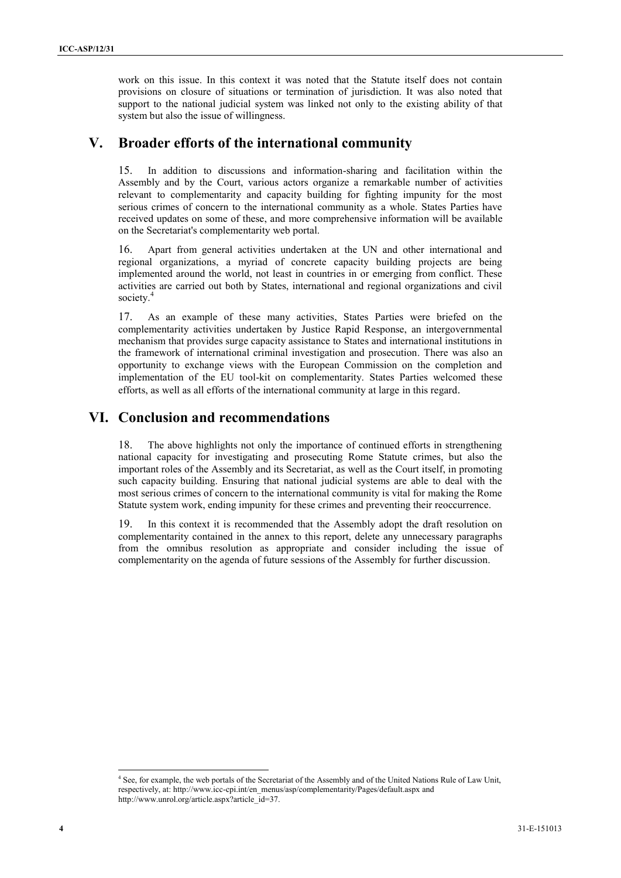work on this issue. In this context it was noted that the Statute itself does not contain provisions on closure of situations or termination of jurisdiction. It was also noted that support to the national judicial system was linked not only to the existing ability of that system but also the issue of willingness.

#### **V. Broader efforts of the international community**

15. In addition to discussions and information-sharing and facilitation within the Assembly and by the Court, various actors organize a remarkable number of activities relevant to complementarity and capacity building for fighting impunity for the most serious crimes of concern to the international community as a whole. States Parties have received updates on some of these, and more comprehensive information will be available on the Secretariat's complementarity web portal.

16. Apart from general activities undertaken at the UN and other international and regional organizations, a myriad of concrete capacity building projects are being implemented around the world, not least in countries in or emerging from conflict. These activities are carried out both by States, international and regional organizations and civil society. 4

17. As an example of these many activities, States Parties were briefed on the complementarity activities undertaken by Justice Rapid Response, an intergovernmental mechanism that provides surge capacity assistance to States and international institutions in the framework of international criminal investigation and prosecution. There was also an opportunity to exchange views with the European Commission on the completion and implementation of the EU tool-kit on complementarity. States Parties welcomed these efforts, as well as all efforts of the international community at large in this regard.

#### **VI. Conclusion and recommendations**

18. The above highlights not only the importance of continued efforts in strengthening national capacity for investigating and prosecuting Rome Statute crimes, but also the important roles of the Assembly and its Secretariat, as well as the Court itself, in promoting such capacity building. Ensuring that national judicial systems are able to deal with the most serious crimes of concern to the international community is vital for making the Rome Statute system work, ending impunity for these crimes and preventing their reoccurrence.

19. In this context it is recommended that the Assembly adopt the draft resolution on complementarity contained in the annex to this report, delete any unnecessary paragraphs from the omnibus resolution as appropriate and consider including the issue of complementarity on the agenda of future sessions of the Assembly for further discussion.

l <sup>4</sup> See, for example, the web portals of the Secretariat of the Assembly and of the United Nations Rule of Law Unit, respectively, at[: http://www.icc-cpi.int/en\\_menus/asp/complementarity/Pages/default.aspx](http://www.icc-cpi.int/en_menus/asp/complementarity/Pages/default.aspx) and [http://www.unrol.org/article.aspx?article\\_id=37.](http://www.unrol.org/article.aspx?article_id=37)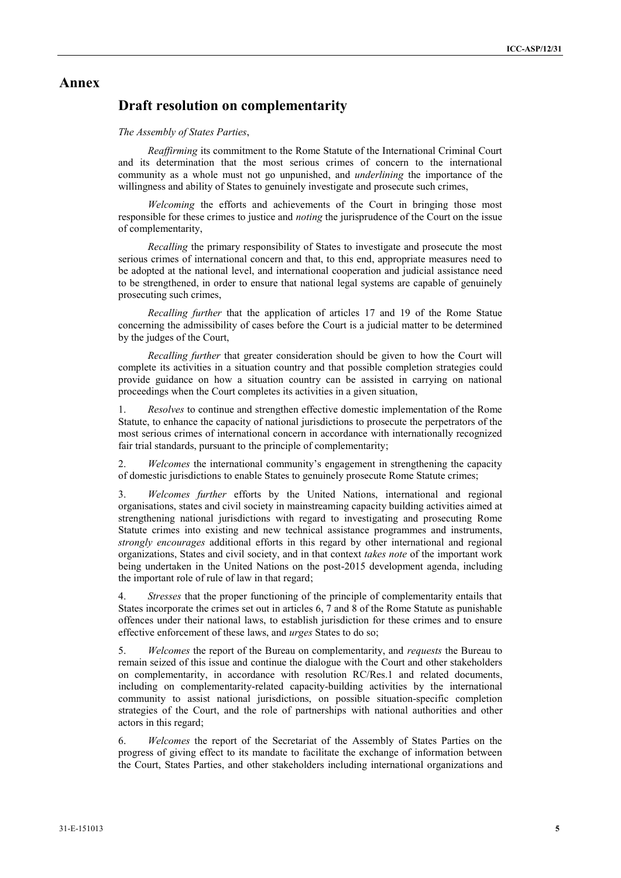#### **Annex**

#### **Draft resolution on complementarity**

#### *The Assembly of States Parties*,

*Reaffirming* its commitment to the Rome Statute of the International Criminal Court and its determination that the most serious crimes of concern to the international community as a whole must not go unpunished, and *underlining* the importance of the willingness and ability of States to genuinely investigate and prosecute such crimes,

*Welcoming* the efforts and achievements of the Court in bringing those most responsible for these crimes to justice and *noting* the jurisprudence of the Court on the issue of complementarity,

*Recalling* the primary responsibility of States to investigate and prosecute the most serious crimes of international concern and that, to this end, appropriate measures need to be adopted at the national level, and international cooperation and judicial assistance need to be strengthened, in order to ensure that national legal systems are capable of genuinely prosecuting such crimes,

*Recalling further* that the application of articles 17 and 19 of the Rome Statue concerning the admissibility of cases before the Court is a judicial matter to be determined by the judges of the Court,

*Recalling further* that greater consideration should be given to how the Court will complete its activities in a situation country and that possible completion strategies could provide guidance on how a situation country can be assisted in carrying on national proceedings when the Court completes its activities in a given situation,

1. *Resolves* to continue and strengthen effective domestic implementation of the Rome Statute, to enhance the capacity of national jurisdictions to prosecute the perpetrators of the most serious crimes of international concern in accordance with internationally recognized fair trial standards, pursuant to the principle of complementarity;

2. *Welcomes* the international community's engagement in strengthening the capacity of domestic jurisdictions to enable States to genuinely prosecute Rome Statute crimes;

3. *Welcomes further* efforts by the United Nations, international and regional organisations, states and civil society in mainstreaming capacity building activities aimed at strengthening national jurisdictions with regard to investigating and prosecuting Rome Statute crimes into existing and new technical assistance programmes and instruments, *strongly encourages* additional efforts in this regard by other international and regional organizations, States and civil society, and in that context *takes note* of the important work being undertaken in the United Nations on the post-2015 development agenda, including the important role of rule of law in that regard;

4. *Stresses* that the proper functioning of the principle of complementarity entails that States incorporate the crimes set out in articles 6, 7 and 8 of the Rome Statute as punishable offences under their national laws, to establish jurisdiction for these crimes and to ensure effective enforcement of these laws, and *urges* States to do so;

5. *Welcomes* the report of the Bureau on complementarity, and *requests* the Bureau to remain seized of this issue and continue the dialogue with the Court and other stakeholders on complementarity, in accordance with resolution RC/Res.1 and related documents, including on complementarity-related capacity-building activities by the international community to assist national jurisdictions, on possible situation-specific completion strategies of the Court, and the role of partnerships with national authorities and other actors in this regard;

6. *Welcomes* the report of the Secretariat of the Assembly of States Parties on the progress of giving effect to its mandate to facilitate the exchange of information between the Court, States Parties, and other stakeholders including international organizations and